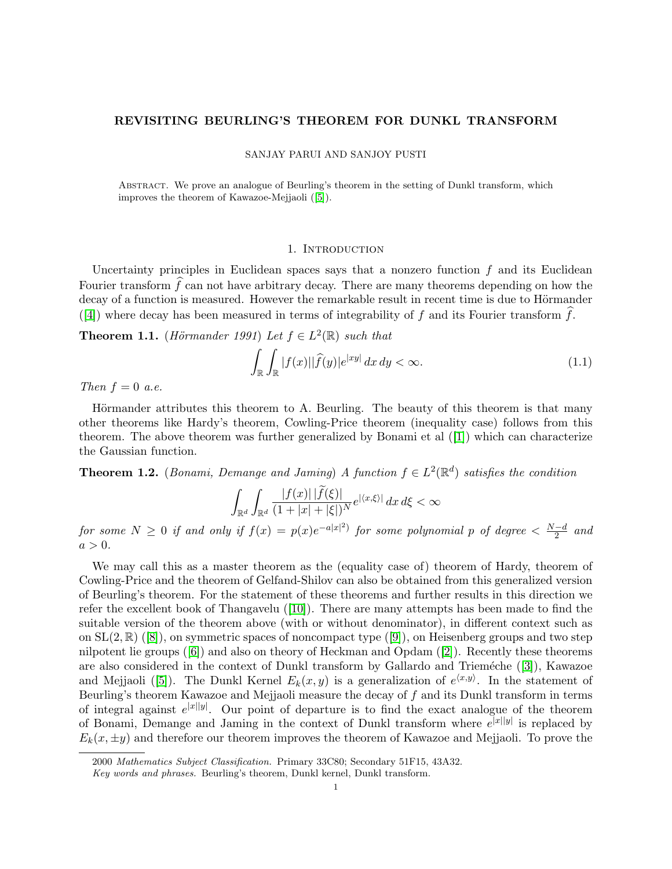# REVISITING BEURLING'S THEOREM FOR DUNKL TRANSFORM

SANJAY PARUI AND SANJOY PUSTI

Abstract. We prove an analogue of Beurling's theorem in the setting of Dunkl transform, which improves the theorem of Kawazoe-Mejjaoli ([\[5\]](#page-9-0)).

#### 1. INTRODUCTION

Uncertainty principles in Euclidean spaces says that a nonzero function  $f$  and its Euclidean Fourier transform  $\hat{f}$  can not have arbitrary decay. There are many theorems depending on how the decay of a function is measured. However the remarkable result in recent time is due to Hörmander ([\[4\]](#page-9-1)) where decay has been measured in terms of integrability of f and its Fourier transform f.

**Theorem 1.1.** (Hörmander 1991) Let  $f \in L^2(\mathbb{R})$  such that

$$
\int_{\mathbb{R}} \int_{\mathbb{R}} |f(x)| |\widehat{f}(y)| e^{|xy|} dx dy < \infty.
$$
\n(1.1)

Then  $f = 0$  a.e.

Hörmander attributes this theorem to A. Beurling. The beauty of this theorem is that many other theorems like Hardy's theorem, Cowling-Price theorem (inequality case) follows from this theorem.The above theorem was further generalized by Bonami et al  $(1)$  which can characterize the Gaussian function.

**Theorem 1.2.** (Bonami, Demange and Jaming) A function  $f \in L^2(\mathbb{R}^d)$  satisfies the condition

$$
\int_{\mathbb{R}^d} \int_{\mathbb{R}^d} \frac{|f(x)| \, |f(\xi)|}{(1+|x|+|\xi|)^N} e^{|\langle x,\xi\rangle|} \, dx \, d\xi < \infty
$$

for some  $N \geq 0$  if and only if  $f(x) = p(x)e^{-a|x|^2}$  for some polynomial p of degree  $\lt \frac{N-d}{2}$  $\frac{-d}{2}$  and  $a > 0$ .

We may call this as a master theorem as the (equality case of) theorem of Hardy, theorem of Cowling-Price and the theorem of Gelfand-Shilov can also be obtained from this generalized version of Beurling's theorem. For the statement of these theorems and further results in this direction we refer the excellent book of Thangavelu([\[10\]](#page-9-3)). There are many attempts has been made to find the suitable version of the theorem above (with or without denominator), in different context such as on $SL(2,\mathbb{R})$  ([\[8\]](#page-9-4)), on symmetric spaces of noncompact type ([\[9\]](#page-9-5)), on Heisenberg groups and two step nilpotent lie groups([\[6\]](#page-9-6)) and also on theory of Heckman and Opdam([\[2\]](#page-9-7)). Recently these theorems arealso considered in the context of Dunkl transform by Gallardo and Trieméche ([\[3\]](#page-9-8)), Kawazoe andMejjaoli ([\[5\]](#page-9-0)). The Dunkl Kernel  $E_k(x, y)$  is a generalization of  $e^{\langle x, y \rangle}$ . In the statement of Beurling's theorem Kawazoe and Mejjaoli measure the decay of  $f$  and its Dunkl transform in terms of integral against  $e^{|x||y|}$ . Our point of departure is to find the exact analogue of the theorem of Bonami, Demange and Jaming in the context of Dunkl transform where  $e^{|x||y|}$  is replaced by  $E_k(x, \pm y)$  and therefore our theorem improves the theorem of Kawazoe and Mejjaoli. To prove the

<sup>2000</sup> Mathematics Subject Classification. Primary 33C80; Secondary 51F15, 43A32.

Key words and phrases. Beurling's theorem, Dunkl kernel, Dunkl transform.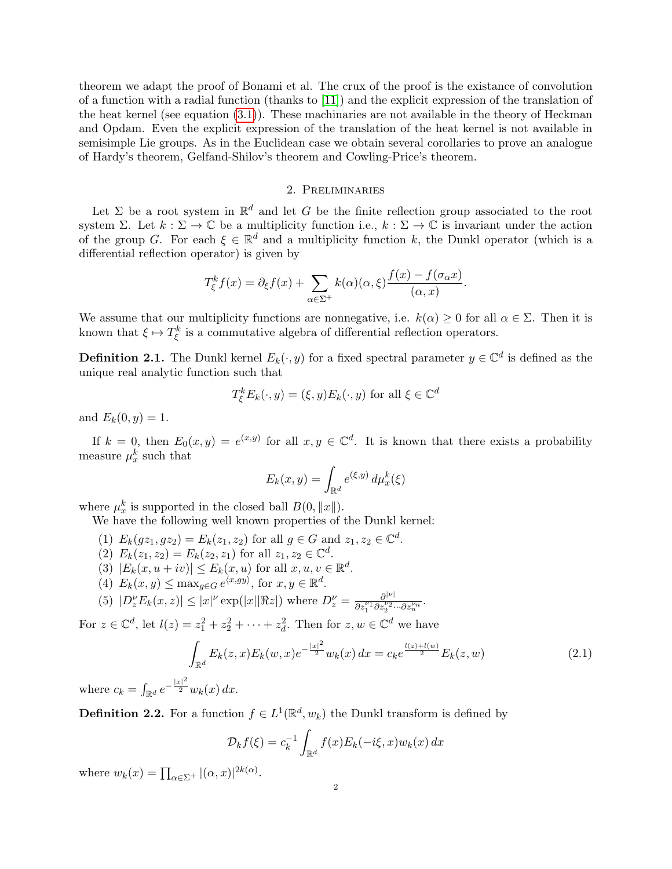theorem we adapt the proof of Bonami et al. The crux of the proof is the existance of convolution of a function with a radial function (thanks to [\[11\]](#page-9-9)) and the explicit expression of the translation of the heat kernel (see equation [\(3.1\)](#page-3-0)). These machinaries are not available in the theory of Heckman and Opdam. Even the explicit expression of the translation of the heat kernel is not available in semisimple Lie groups. As in the Euclidean case we obtain several corollaries to prove an analogue of Hardy's theorem, Gelfand-Shilov's theorem and Cowling-Price's theorem.

# 2. Preliminaries

Let  $\Sigma$  be a root system in  $\mathbb{R}^d$  and let G be the finite reflection group associated to the root system Σ. Let  $k : \Sigma \to \mathbb{C}$  be a multiplicity function i.e.,  $k : \Sigma \to \mathbb{C}$  is invariant under the action of the group G. For each  $\xi \in \mathbb{R}^d$  and a multiplicity function k, the Dunkl operator (which is a differential reflection operator) is given by

$$
T_{\xi}^{k} f(x) = \partial_{\xi} f(x) + \sum_{\alpha \in \Sigma^{+}} k(\alpha)(\alpha, \xi) \frac{f(x) - f(\sigma_{\alpha} x)}{(\alpha, x)}.
$$

We assume that our multiplicity functions are nonnegative, i.e.  $k(\alpha) \geq 0$  for all  $\alpha \in \Sigma$ . Then it is known that  $\xi \mapsto T_{\xi}^{k}$  is a commutative algebra of differential reflection operators.

**Definition 2.1.** The Dunkl kernel  $E_k(\cdot, y)$  for a fixed spectral parameter  $y \in \mathbb{C}^d$  is defined as the unique real analytic function such that

$$
T_{\xi}^{k}E_{k}(\cdot,y)=(\xi,y)E_{k}(\cdot,y) \text{ for all } \xi \in \mathbb{C}^{d}
$$

and  $E_k(0, y) = 1$ .

If  $k = 0$ , then  $E_0(x, y) = e^{(x, y)}$  for all  $x, y \in \mathbb{C}^d$ . It is known that there exists a probability measure  $\mu_x^k$  such that

$$
E_k(x, y) = \int_{\mathbb{R}^d} e^{(\xi, y)} d\mu_x^k(\xi)
$$

where  $\mu_x^k$  is supported in the closed ball  $B(0, ||x||)$ .

We have the following well known properties of the Dunkl kernel:

- (1)  $E_k(gz_1, gz_2) = E_k(z_1, z_2)$  for all  $g \in G$  and  $z_1, z_2 \in \mathbb{C}^d$ .
- (2)  $E_k(z_1, z_2) = E_k(z_2, z_1)$  for all  $z_1, z_2 \in \mathbb{C}^d$ .
- (3)  $|E_k(x, u + iv)| \le E_k(x, u)$  for all  $x, u, v \in \mathbb{R}^d$ .
- (4)  $E_k(x, y) \leq \max_{g \in G} e^{\langle x, gy \rangle}$ , for  $x, y \in \mathbb{R}^d$ .

(5) 
$$
|D_z^{\nu}E_k(x,z)| \le |x|^{\nu} \exp(|x||\Re z|)
$$
 where  $D_z^{\nu} = \frac{\partial^{|\nu|}}{\partial z_1^{\nu_1} \partial z_2^{\nu_2} \cdots \partial z_n^{\nu_n}}$ .

For  $z \in \mathbb{C}^d$ , let  $l(z) = z_1^2 + z_2^2 + \cdots + z_d^2$ . Then for  $z, w \in \mathbb{C}^d$  we have

<span id="page-1-0"></span>
$$
\int_{\mathbb{R}^d} E_k(z, x) E_k(w, x) e^{-\frac{|x|^2}{2}} w_k(x) dx = c_k e^{\frac{l(z) + l(w)}{2}} E_k(z, w)
$$
\n(2.1)

where  $c_k = \int_{\mathbb{R}^d} e^{-\frac{|x|^2}{2}} w_k(x) dx$ .

**Definition 2.2.** For a function  $f \in L^1(\mathbb{R}^d, w_k)$  the Dunkl transform is defined by

$$
\mathcal{D}_k f(\xi) = c_k^{-1} \int_{\mathbb{R}^d} f(x) E_k(-i\xi, x) w_k(x) dx
$$

where  $w_k(x) = \prod_{\alpha \in \Sigma^+} |(\alpha, x)|^{2k(\alpha)}$ .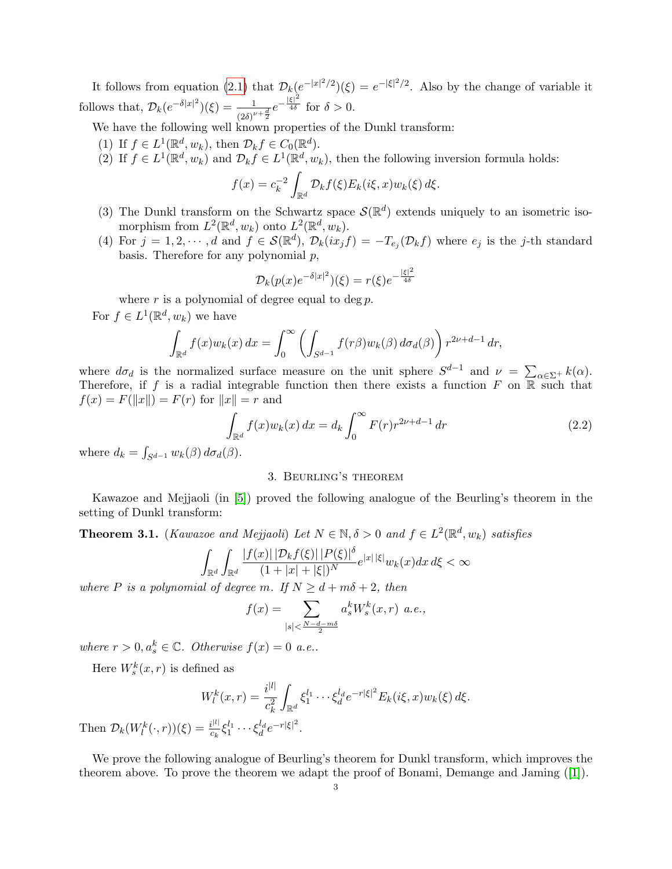It follows from equation [\(2.1\)](#page-1-0) that  $\mathcal{D}_k(e^{-|x|^2/2})(\xi) = e^{-|\xi|^2/2}$ . Also by the change of variable it follows that,  $\mathcal{D}_k(e^{-\delta|x|^2})(\xi) = \frac{1}{(2\delta)^{\nu+\frac{d}{2}}}e^{-\frac{|\xi|^2}{4\delta}}$  for  $\delta > 0$ .

We have the following well known properties of the Dunkl transform:

- (1) If  $f \in L^1(\mathbb{R}^d, w_k)$ , then  $\mathcal{D}_k f \in C_0(\mathbb{R}^d)$ .
- (2) If  $f \in L^1(\mathbb{R}^d, w_k)$  and  $\mathcal{D}_k f \in L^1(\mathbb{R}^d, w_k)$ , then the following inversion formula holds:

$$
f(x) = c_k^{-2} \int_{\mathbb{R}^d} \mathcal{D}_k f(\xi) E_k(i\xi, x) w_k(\xi) d\xi.
$$

- (3) The Dunkl transform on the Schwartz space  $\mathcal{S}(\mathbb{R}^d)$  extends uniquely to an isometric isomorphism from  $L^2(\mathbb{R}^d, w_k)$  onto  $L^2(\mathbb{R}^d, w_k)$ .
- (4) For  $j = 1, 2, \dots, d$  and  $f \in \mathcal{S}(\mathbb{R}^d)$ ,  $\mathcal{D}_k(ix_jf) = -T_{e_j}(\mathcal{D}_k f)$  where  $e_j$  is the j-th standard basis. Therefore for any polynomial  $p$ ,

$$
\mathcal{D}_k(p(x)e^{-\delta|x|^2})(\xi) = r(\xi)e^{-\frac{|\xi|^2}{4\delta}}
$$

where  $r$  is a polynomial of degree equal to deg  $p$ .

For  $f \in L^1(\mathbb{R}^d, w_k)$  we have

$$
\int_{\mathbb{R}^d} f(x) w_k(x) dx = \int_0^\infty \left( \int_{S^{d-1}} f(r\beta) w_k(\beta) d\sigma_d(\beta) \right) r^{2\nu+d-1} dr,
$$

where  $d\sigma_d$  is the normalized surface measure on the unit sphere  $S^{d-1}$  and  $\nu = \sum_{\alpha \in \Sigma^+} k(\alpha)$ . Therefore, if f is a radial integrable function then there exists a function F on  $\overline{\mathbb{R}}$  such that  $f(x) = F(||x||) = F(r)$  for  $||x|| = r$  and

<span id="page-2-0"></span>
$$
\int_{\mathbb{R}^d} f(x) w_k(x) \, dx = d_k \int_0^\infty F(r) r^{2\nu + d - 1} \, dr \tag{2.2}
$$

where  $d_k = \int_{S^{d-1}} w_k(\beta) d\sigma_d(\beta)$ .

#### 3. Beurling's theorem

Kawazoe and Mejjaoli (in [\[5\]](#page-9-0)) proved the following analogue of the Beurling's theorem in the setting of Dunkl transform:

<span id="page-2-1"></span>**Theorem 3.1.** (Kawazoe and Mejjaoli) Let  $N \in \mathbb{N}, \delta > 0$  and  $f \in L^2(\mathbb{R}^d, w_k)$  satisfies

$$
\int_{\mathbb{R}^d} \int_{\mathbb{R}^d} \frac{|f(x)| \, |D_k f(\xi)| \, |P(\xi)|^{\delta}}{(1+|x|+|\xi|)^N} e^{|x| \, |\xi|} w_k(x) dx \, d\xi < \infty
$$

where P is a polynomial of degree m. If  $N \geq d + m\delta + 2$ , then

$$
f(x) = \sum_{|s| < \frac{N-d-m\delta}{2}} a_s^k W_s^k(x, r) \ a.e.,
$$

where  $r > 0, a_s^k \in \mathbb{C}$ . Otherwise  $f(x) = 0$  a.e..

Here  $W_s^k(x,r)$  is defined as

$$
W_l^k(x,r) = \frac{i^{|l|}}{c_k^2} \int_{\mathbb{R}^d} \xi_1^{l_1} \cdots \xi_d^{l_d} e^{-r|\xi|^2} E_k(i\xi,x) w_k(\xi) d\xi.
$$

Then  $\mathcal{D}_k(W_l^k(\cdot,r))(\xi) = \frac{i^{|l|}}{c_k}$  $\frac{i^{|l|}}{c_k} \xi_1^{l_1} \cdots \xi_d^{l_d} e^{-r |\xi|^2}.$ 

We prove the following analogue of Beurling's theorem for Dunkl transform, which improves the theorem above. To prove the theorem we adapt the proof of Bonami, Demange and Jaming([\[1\]](#page-9-2)).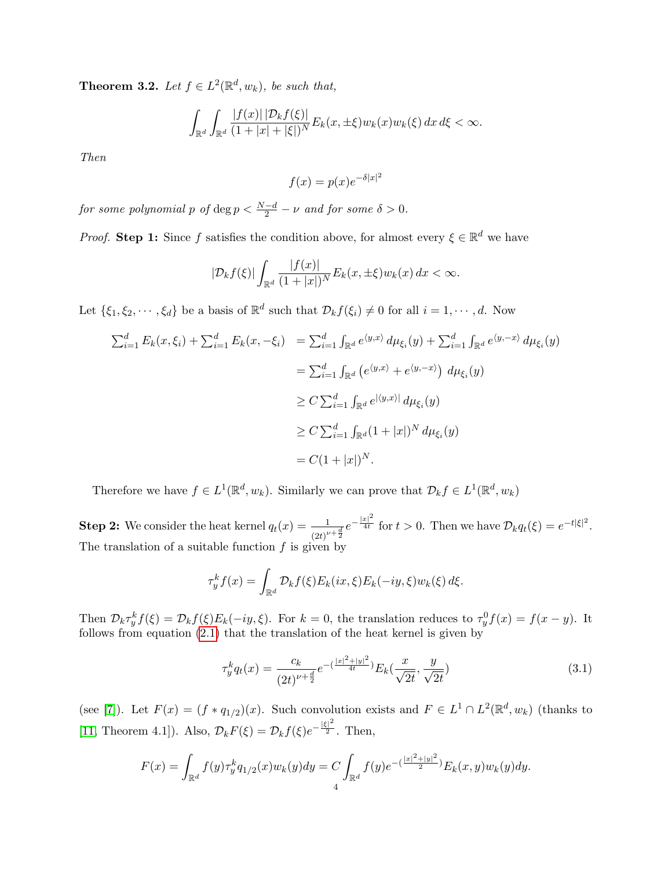<span id="page-3-1"></span>**Theorem 3.2.** Let  $f \in L^2(\mathbb{R}^d, w_k)$ , be such that,

$$
\int_{\mathbb{R}^d} \int_{\mathbb{R}^d} \frac{|f(x)| \, |D_k f(\xi)|}{(1+|x|+|\xi|)^N} E_k(x, \pm \xi) w_k(x) w_k(\xi) \, dx \, d\xi < \infty.
$$

Then

$$
f(x) = p(x)e^{-\delta|x|^2}
$$

for some polynomial p of  $\deg p < \frac{N-d}{2} - \nu$  and for some  $\delta > 0$ .

*Proof.* Step 1: Since f satisfies the condition above, for almost every  $\xi \in \mathbb{R}^d$  we have

$$
|\mathcal{D}_k f(\xi)| \int_{\mathbb{R}^d} \frac{|f(x)|}{(1+|x|)^N} E_k(x,\pm \xi) w_k(x) dx < \infty.
$$

Let  $\{\xi_1, \xi_2, \dots, \xi_d\}$  be a basis of  $\mathbb{R}^d$  such that  $\mathcal{D}_k f(\xi_i) \neq 0$  for all  $i = 1, \dots, d$ . Now

$$
\sum_{i=1}^{d} E_k(x, \xi_i) + \sum_{i=1}^{d} E_k(x, -\xi_i) = \sum_{i=1}^{d} \int_{\mathbb{R}^d} e^{\langle y, x \rangle} d\mu_{\xi_i}(y) + \sum_{i=1}^{d} \int_{\mathbb{R}^d} e^{\langle y, -x \rangle} d\mu_{\xi_i}(y)
$$
  
\n
$$
= \sum_{i=1}^{d} \int_{\mathbb{R}^d} (e^{\langle y, x \rangle} + e^{\langle y, -x \rangle}) d\mu_{\xi_i}(y)
$$
  
\n
$$
\geq C \sum_{i=1}^{d} \int_{\mathbb{R}^d} e^{|\langle y, x \rangle|} d\mu_{\xi_i}(y)
$$
  
\n
$$
\geq C \sum_{i=1}^{d} \int_{\mathbb{R}^d} (1 + |x|)^N d\mu_{\xi_i}(y)
$$
  
\n
$$
= C(1 + |x|)^N.
$$

Therefore we have  $f \in L^1(\mathbb{R}^d, w_k)$ . Similarly we can prove that  $\mathcal{D}_k f \in L^1(\mathbb{R}^d, w_k)$ 

**Step 2:** We consider the heat kernel  $q_t(x) = \frac{1}{(2t)^{\nu + \frac{d}{2}}} e^{-\frac{|x|^2}{4t}}$  for  $t > 0$ . Then we have  $\mathcal{D}_k q_t(\xi) = e^{-t|\xi|^2}$ . The translation of a suitable function  $f$  is given by

$$
\tau_y^k f(x) = \int_{\mathbb{R}^d} \mathcal{D}_k f(\xi) E_k(ix, \xi) E_k(-iy, \xi) w_k(\xi) d\xi.
$$

Then  $\mathcal{D}_k \tau_y^k f(\xi) = \mathcal{D}_k f(\xi) E_k(-iy, \xi)$ . For  $k = 0$ , the translation reduces to  $\tau_y^0 f(x) = f(x - y)$ . It follows from equation [\(2.1\)](#page-1-0) that the translation of the heat kernel is given by

<span id="page-3-0"></span>
$$
\tau_y^k q_t(x) = \frac{c_k}{(2t)^{\nu + \frac{d}{2}}} e^{-\left(\frac{|x|^2 + |y|^2}{4t}\right)} E_k(\frac{x}{\sqrt{2t}}, \frac{y}{\sqrt{2t}})
$$
(3.1)

(see [\[7\]](#page-9-10)). Let  $F(x) = (f * q_{1/2})(x)$ . Such convolution exists and  $F \in L^1 \cap L^2(\mathbb{R}^d, w_k)$  (thanks to [\[11,](#page-9-9) Theorem 4.1]). Also,  $\mathcal{D}_k F(\xi) = \mathcal{D}_k f(\xi) e^{-\frac{|\xi|^2}{2}}$ . Then,

$$
F(x) = \int_{\mathbb{R}^d} f(y) \tau_y^k q_{1/2}(x) w_k(y) dy = C \int_{\mathbb{R}^d} f(y) e^{-\left(\frac{|x|^2 + |y|^2}{2}\right)} E_k(x, y) w_k(y) dy.
$$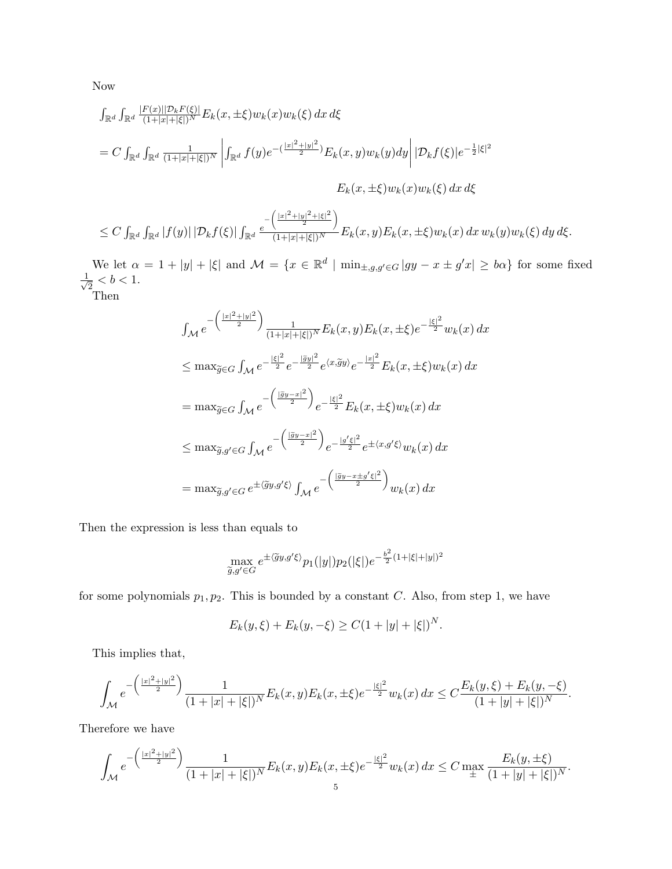Now

$$
\int_{\mathbb{R}^d} \int_{\mathbb{R}^d} \frac{|F(x)||\mathcal{D}_k F(\xi)|}{(1+|x|+|\xi|)^N} E_k(x, \pm \xi) w_k(x) w_k(\xi) dx d\xi
$$
\n
$$
= C \int_{\mathbb{R}^d} \int_{\mathbb{R}^d} \frac{1}{(1+|x|+|\xi|)^N} \left| \int_{\mathbb{R}^d} f(y) e^{-\left(\frac{|x|^2+|y|^2}{2}\right)} E_k(x, y) w_k(y) dy \right| |\mathcal{D}_k f(\xi)| e^{-\frac{1}{2}|\xi|^2}
$$
\n
$$
E_k(x, \pm \xi) w_k(x) w_k(\xi) dx d\xi
$$

$$
\leq C \int_{\mathbb{R}^d} \int_{\mathbb{R}^d} |f(y)| \, |\mathcal{D}_k f(\xi)| \int_{\mathbb{R}^d} \frac{e^{-\left(\frac{|x|^2+|y|^2+|\xi|^2}{2}\right)}}{(1+|x|+|\xi|)^N} E_k(x,y) E_k(x,\pm \xi) w_k(x) \, dx \, w_k(y) w_k(\xi) \, dy \, d\xi.
$$

We let  $\alpha = 1 + |y| + |\xi|$  and  $\mathcal{M} = \{x \in \mathbb{R}^d \mid \min_{\pm, g, g' \in G} |gy - x \pm g'x| \ge b\alpha\}$  for some fixed  $\frac{1}{\sqrt{2}}$  $\frac{1}{2} < b < 1.$ 

Then

$$
\int_{\mathcal{M}} e^{-\left(\frac{|x|^2+|y|^2}{2}\right)} \frac{1}{(1+|x|+|\xi|)^N} E_k(x,y) E_k(x,\pm \xi) e^{-\frac{|\xi|^2}{2}} w_k(x) dx
$$
  
\n
$$
\leq \max_{\widetilde{g} \in G} \int_{\mathcal{M}} e^{-\frac{|\xi|^2}{2}} e^{-\frac{|\widetilde{g}y|^2}{2}} e^{\langle x, \widetilde{g}y \rangle} e^{-\frac{|x|^2}{2}} E_k(x,\pm \xi) w_k(x) dx
$$
  
\n
$$
= \max_{\widetilde{g} \in G} \int_{\mathcal{M}} e^{-\left(\frac{|\widetilde{g}y-x|^2}{2}\right)} e^{-\frac{|\xi|^2}{2}} E_k(x,\pm \xi) w_k(x) dx
$$
  
\n
$$
\leq \max_{\widetilde{g}, g' \in G} \int_{\mathcal{M}} e^{-\left(\frac{|\widetilde{g}y-x|^2}{2}\right)} e^{-\frac{|g' \xi|^2}{2}} e^{\pm \langle x, g' \xi \rangle} w_k(x) dx
$$
  
\n
$$
= \max_{\widetilde{g}, g' \in G} e^{\pm \langle \widetilde{g}y, g' \xi \rangle} \int_{\mathcal{M}} e^{-\left(\frac{|\widetilde{g}y-x \pm g' \xi|^2}{2}\right)} w_k(x) dx
$$

Then the expression is less than equals to

$$
\max_{\tilde{g},g'\in G} e^{\pm \langle \tilde{g}y, g'\xi \rangle} p_1(|y|) p_2(|\xi|) e^{-\frac{b^2}{2}(1+|\xi|+|y|)^2}
$$

for some polynomials  $p_1, p_2$ . This is bounded by a constant C. Also, from step 1, we have

$$
E_k(y,\xi) + E_k(y,-\xi) \ge C(1+|y|+|\xi|)^N.
$$

This implies that,

$$
\int_{\mathcal{M}} e^{-\left(\frac{|x|^2+|y|^2}{2}\right)} \frac{1}{(1+|x|+|\xi|)^N} E_k(x,y) E_k(x,\pm \xi) e^{-\frac{|\xi|^2}{2}} w_k(x) dx \leq C \frac{E_k(y,\xi) + E_k(y,-\xi)}{(1+|y|+|\xi|)^N}.
$$

Therefore we have

$$
\int_{\mathcal{M}} e^{-\left(\frac{|x|^2 + |y|^2}{2}\right)} \frac{1}{(1+|x|+|\xi|)^N} E_k(x, y) E_k(x, \pm \xi) e^{-\frac{|\xi|^2}{2}} w_k(x) dx \leq C \max_{\pm} \frac{E_k(y, \pm \xi)}{(1+|y|+|\xi|)^N}.
$$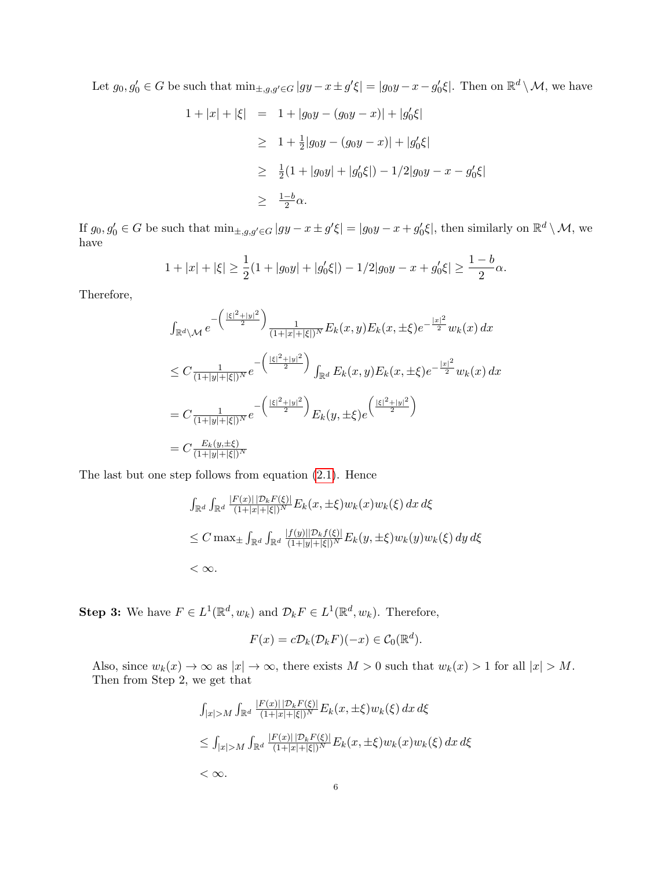Let  $g_0, g'_0 \in G$  be such that  $\min_{\pm,g,g'\in G} |gy - x \pm g'\xi| = |g_0y - x - g'_0\xi|$ . Then on  $\mathbb{R}^d \setminus \mathcal{M}$ , we have

$$
1 + |x| + |\xi| = 1 + |g_0y - (g_0y - x)| + |g'_0\xi|
$$
  
\n
$$
\geq 1 + \frac{1}{2}|g_0y - (g_0y - x)| + |g'_0\xi|
$$
  
\n
$$
\geq \frac{1}{2}(1 + |g_0y| + |g'_0\xi|) - 1/2|g_0y - x - g'_0\xi|
$$
  
\n
$$
\geq \frac{1-b}{2}\alpha.
$$

If  $g_0, g'_0 \in G$  be such that  $\min_{\pm,g,g'\in G} |gy - x \pm g'\xi| = |g_0y - x + g'_0\xi|$ , then similarly on  $\mathbb{R}^d \setminus \mathcal{M}$ , we have

$$
1+|x|+|\xi| \ge \frac{1}{2}(1+|g_0y|+|g_0'\xi|) - 1/2|g_0y - x + g_0'\xi| \ge \frac{1-b}{2}\alpha.
$$

Therefore,

$$
\int_{\mathbb{R}^d \backslash \mathcal{M}} e^{-\left(\frac{|\xi|^2 + |y|^2}{2}\right)} \frac{1}{(1 + |x| + |\xi|)^N} E_k(x, y) E_k(x, \pm \xi) e^{-\frac{|x|^2}{2}} w_k(x) dx
$$
\n
$$
\leq C \frac{1}{(1 + |y| + |\xi|)^N} e^{-\left(\frac{|\xi|^2 + |y|^2}{2}\right)} \int_{\mathbb{R}^d} E_k(x, y) E_k(x, \pm \xi) e^{-\frac{|x|^2}{2}} w_k(x) dx
$$
\n
$$
= C \frac{1}{(1 + |y| + |\xi|)^N} e^{-\left(\frac{|\xi|^2 + |y|^2}{2}\right)} E_k(y, \pm \xi) e^{\left(\frac{|\xi|^2 + |y|^2}{2}\right)}
$$
\n
$$
= C \frac{E_k(y, \pm \xi)}{(1 + |y| + |\xi|)^N}
$$

The last but one step follows from equation [\(2.1\)](#page-1-0). Hence

$$
\int_{\mathbb{R}^d} \int_{\mathbb{R}^d} \frac{|F(x)| |\mathcal{D}_k F(\xi)|}{(1+|x|+|\xi|)^N} E_k(x, \pm \xi) w_k(x) w_k(\xi) dx d\xi
$$
  
\n
$$
\leq C \max_{\pm} \int_{\mathbb{R}^d} \int_{\mathbb{R}^d} \frac{|f(y)| |\mathcal{D}_k f(\xi)|}{(1+|y|+|\xi|)^N} E_k(y, \pm \xi) w_k(y) w_k(\xi) dy d\xi
$$
  
\n
$$
< \infty.
$$

**Step 3:** We have  $F \in L^1(\mathbb{R}^d, w_k)$  and  $\mathcal{D}_k F \in L^1(\mathbb{R}^d, w_k)$ . Therefore,

$$
F(x) = c\mathcal{D}_k(\mathcal{D}_k F)(-x) \in \mathcal{C}_0(\mathbb{R}^d).
$$

Also, since  $w_k(x) \to \infty$  as  $|x| \to \infty$ , there exists  $M > 0$  such that  $w_k(x) > 1$  for all  $|x| > M$ . Then from Step 2, we get that

$$
\int_{|x|>M} \int_{\mathbb{R}^d} \frac{|F(x)| |D_k F(\xi)|}{(1+|x|+|\xi|)^N} E_k(x, \pm \xi) w_k(\xi) dx d\xi
$$
  
\n
$$
\leq \int_{|x|>M} \int_{\mathbb{R}^d} \frac{|F(x)| |D_k F(\xi)|}{(1+|x|+|\xi|)^N} E_k(x, \pm \xi) w_k(x) w_k(\xi) dx d\xi
$$
  
\n
$$
< \infty.
$$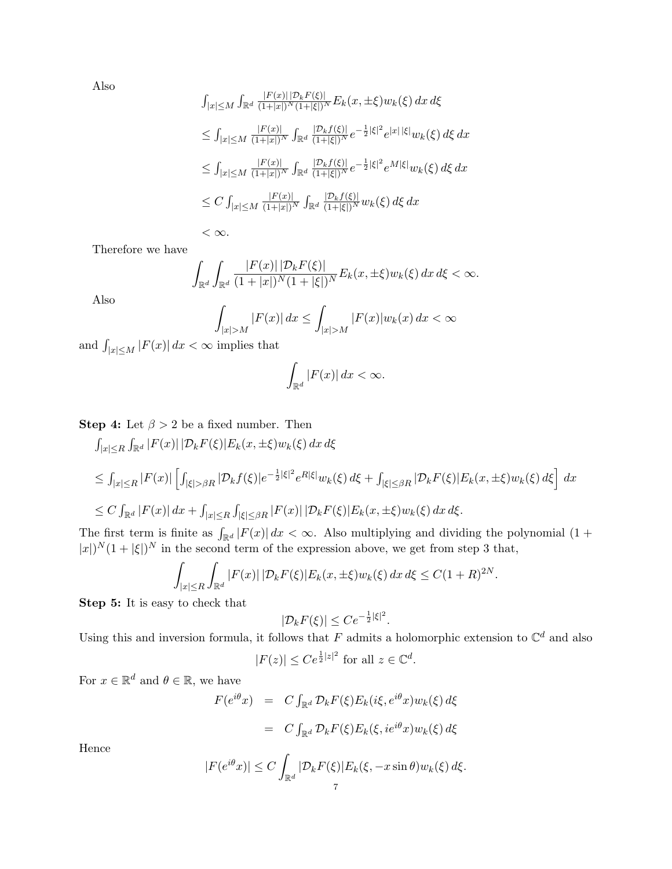Also

$$
\int_{|x| \le M} \int_{\mathbb{R}^d} \frac{|F(x)| |\mathcal{D}_k F(\xi)|}{(1+|x|)^N (1+|\xi|)^N} E_k(x, \pm \xi) w_k(\xi) dx d\xi
$$
  
\n
$$
\le \int_{|x| \le M} \frac{|F(x)|}{(1+|x|)^N} \int_{\mathbb{R}^d} \frac{|\mathcal{D}_k f(\xi)|}{(1+|\xi|)^N} e^{-\frac{1}{2}|\xi|^2} e^{|x| |\xi|} w_k(\xi) d\xi dx
$$
  
\n
$$
\le \int_{|x| \le M} \frac{|F(x)|}{(1+|x|)^N} \int_{\mathbb{R}^d} \frac{|\mathcal{D}_k f(\xi)|}{(1+|\xi|)^N} e^{-\frac{1}{2}|\xi|^2} e^{M |\xi|} w_k(\xi) d\xi dx
$$
  
\n
$$
\le C \int_{|x| \le M} \frac{|F(x)|}{(1+|x|)^N} \int_{\mathbb{R}^d} \frac{|\mathcal{D}_k f(\xi)|}{(1+|\xi|)^N} w_k(\xi) d\xi dx
$$
  
\n
$$
< \infty.
$$

Therefore we have

$$
\int_{\mathbb{R}^d} \int_{\mathbb{R}^d} \frac{|F(x)| \, |D_k F(\xi)|}{(1+|x|)^N (1+|\xi|)^N} E_k(x, \pm \xi) w_k(\xi) \, dx \, d\xi < \infty.
$$

Also

$$
\int_{|x|>M} |F(x)| dx \le \int_{|x|>M} |F(x)| w_k(x) dx < \infty
$$

and  $\int_{|x| \le M} |F(x)| dx < \infty$  implies that

$$
\int_{\mathbb{R}^d} |F(x)| \, dx < \infty.
$$

**Step 4:** Let  $\beta > 2$  be a fixed number. Then

$$
\int_{|x| \le R} \int_{\mathbb{R}^d} |F(x)| |\mathcal{D}_k F(\xi)| E_k(x, \pm \xi) w_k(\xi) dx d\xi
$$
  
\n
$$
\le \int_{|x| \le R} |F(x)| \left[ \int_{|\xi| > \beta R} |\mathcal{D}_k f(\xi)| e^{-\frac{1}{2}|\xi|^2} e^{R|\xi|} w_k(\xi) d\xi + \int_{|\xi| \le \beta R} |\mathcal{D}_k F(\xi)| E_k(x, \pm \xi) w_k(\xi) d\xi \right] dx
$$
  
\n
$$
\le C \int_{\mathbb{R}^d} |F(x)| dx + \int_{|x| \le R} \int_{|\xi| \le \beta R} |F(x)| |\mathcal{D}_k F(\xi)| E_k(x, \pm \xi) w_k(\xi) dx d\xi.
$$

The first term is finite as  $\int_{\mathbb{R}^d} |F(x)| dx < \infty$ . Also multiplying and dividing the polynomial  $(1 +$  $|x|^{N}(1+|\xi|)^{N}$  in the second term of the expression above, we get from step 3 that,

$$
\int_{|x| \le R} \int_{\mathbb{R}^d} |F(x)| |\mathcal{D}_k F(\xi)| E_k(x, \pm \xi) w_k(\xi) dx d\xi \le C(1+R)^{2N}
$$

 $\ddot{\phantom{a}}$ 

Step 5: It is easy to check that

$$
|\mathcal{D}_k F(\xi)| \leq C e^{-\frac{1}{2}|\xi|^2}.
$$

Using this and inversion formula, it follows that F admits a holomorphic extension to  $\mathbb{C}^d$  and also

$$
|F(z)| \le Ce^{\frac{1}{2}|z|^2} \text{ for all } z \in \mathbb{C}^d.
$$

For  $x \in \mathbb{R}^d$  and  $\theta \in \mathbb{R}$ , we have

$$
F(e^{i\theta}x) = C \int_{\mathbb{R}^d} \mathcal{D}_k F(\xi) E_k(i\xi, e^{i\theta}x) w_k(\xi) d\xi
$$
  

$$
= C \int_{\mathbb{R}^d} \mathcal{D}_k F(\xi) E_k(\xi, i e^{i\theta}x) w_k(\xi) d\xi
$$

Hence

$$
|F(e^{i\theta}x)| \le C \int_{\mathbb{R}^d} |\mathcal{D}_k F(\xi)| E_k(\xi, -x \sin \theta) w_k(\xi) d\xi.
$$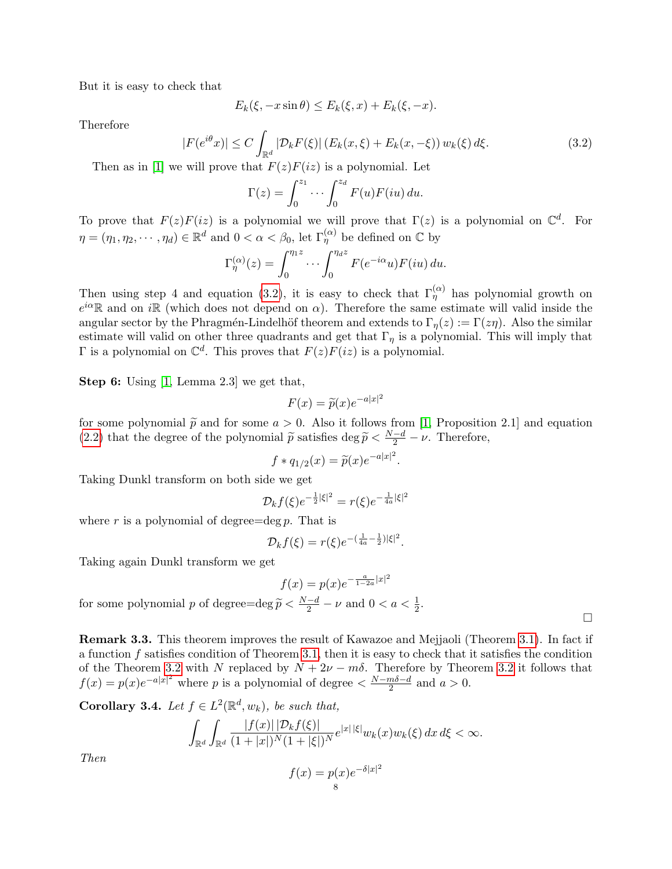But it is easy to check that

$$
E_k(\xi, -x\sin\theta) \le E_k(\xi, x) + E_k(\xi, -x).
$$

Therefore

<span id="page-7-0"></span>
$$
|F(e^{i\theta}x)| \le C \int_{\mathbb{R}^d} |\mathcal{D}_k F(\xi)| \left( E_k(x,\xi) + E_k(x,-\xi) \right) w_k(\xi) d\xi.
$$
 (3.2)

Then as in [\[1\]](#page-9-2) we will prove that  $F(z)F(iz)$  is a polynomial. Let

$$
\Gamma(z) = \int_0^{z_1} \cdots \int_0^{z_d} F(u) F(iu) \, du.
$$

To prove that  $F(z)F(iz)$  is a polynomial we will prove that  $\Gamma(z)$  is a polynomial on  $\mathbb{C}^d$ . For  $\eta=(\eta_1,\eta_2,\cdots,\eta_d)\in\mathbb{R}^d$  and  $0<\alpha<\beta_0$ , let  $\Gamma^{(\alpha)}_\eta$  be defined on  $\mathbb C$  by

$$
\Gamma_{\eta}^{(\alpha)}(z) = \int_0^{\eta_1 z} \cdots \int_0^{\eta_d z} F(e^{-i\alpha}u) F(iu) du.
$$

Then using step 4 and equation [\(3.2\)](#page-7-0), it is easy to check that  $\Gamma_{\eta}^{(\alpha)}$  has polynomial growth on  $e^{i\alpha}$ R and on iR (which does not depend on  $\alpha$ ). Therefore the same estimate will valid inside the angular sector by the Phragmén-Lindelhöf theorem and extends to  $\Gamma_n(z) := \Gamma(z\eta)$ . Also the similar estimate will valid on other three quadrants and get that  $\Gamma_{\eta}$  is a polynomial. This will imply that  $\Gamma$  is a polynomial on  $\mathbb{C}^d$ . This proves that  $F(z)F(iz)$  is a polynomial.

Step 6: Using [\[1,](#page-9-2) Lemma 2.3] we get that,

$$
F(x) = \widetilde{p}(x)e^{-a|x|^2}
$$

for some polynomial  $\tilde{p}$  and for some  $a > 0$ . Also it follows from [\[1,](#page-9-2) Proposition 2.1] and equation  $(2, 2)$  that the degree of the polynomial  $\tilde{p}$  actions  $\text{diag} \tilde{p} \leq \frac{N-d}{n}$  is Therefore [\(2.2\)](#page-2-0) that the degree of the polynomial  $\tilde{p}$  satisfies deg  $\tilde{p} < \frac{N-d}{2} - \nu$ . Therefore,

$$
f * q_{1/2}(x) = \tilde{p}(x)e^{-a|x|^2}.
$$

Taking Dunkl transform on both side we get

$$
\mathcal{D}_k f(\xi) e^{-\frac{1}{2}|\xi|^2} = r(\xi) e^{-\frac{1}{4a}|\xi|^2}
$$

where r is a polynomial of degree=deg p. That is

$$
\mathcal{D}_k f(\xi) = r(\xi) e^{-(\frac{1}{4a} - \frac{1}{2})|\xi|^2}.
$$

Taking again Dunkl transform we get

$$
f(x) = p(x)e^{-\frac{a}{1-2a}|x|^2}
$$

 $\Box$ 

for some polynomial p of degree= $\deg \widetilde{p} < \frac{N-d}{2} - \nu$  and  $0 < a < \frac{1}{2}$ .

Remark 3.3. This theorem improves the result of Kawazoe and Mejjaoli (Theorem [3.1\)](#page-2-1). In fact if a function f satisfies condition of Theorem [3.1,](#page-2-1) then it is easy to check that it satisfies the condition of the Theorem [3.2](#page-3-1) with N replaced by  $N + 2\nu - m\delta$ . Therefore by Theorem 3.2 it follows that  $f(x) = p(x)e^{-a|x|^2}$  where p is a polynomial of degree  $\lt \frac{N-m\delta-d}{2}$  $\frac{m\delta - d}{2}$  and  $a > 0$ .

<span id="page-7-1"></span>**Corollary 3.4.** Let  $f \in L^2(\mathbb{R}^d, w_k)$ , be such that,

$$
\int_{\mathbb{R}^d} \int_{\mathbb{R}^d} \frac{|f(x)| \, |D_k f(\xi)|}{(1+|x|)^N (1+|\xi|)^N} e^{|x| \, |\xi|} w_k(x) w_k(\xi) \, dx \, d\xi < \infty.
$$

Then

$$
f(x) = p(x)e^{-\delta|x|^2}
$$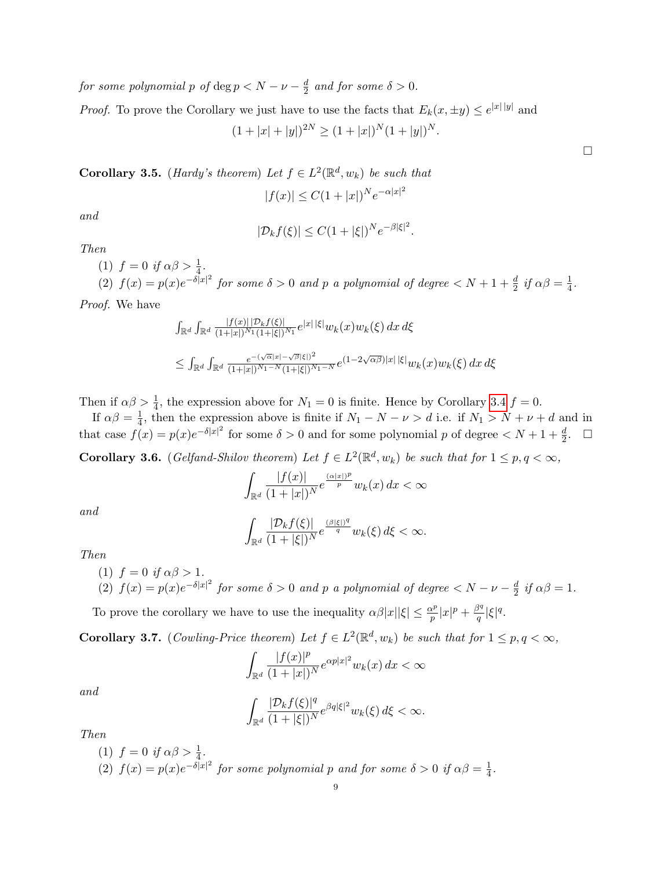for some polynomial p of  $\deg p < N - \nu - \frac{d}{2}$  $rac{d}{2}$  and for some  $\delta > 0$ .

*Proof.* To prove the Corollary we just have to use the facts that  $E_k(x, \pm y) \leq e^{|x||y|}$  and

$$
(1+|x|+|y|)^{2N} \ge (1+|x|)^N (1+|y|)^N.
$$

**Corollary 3.5.** (*Hardy's theorem*) Let  $f \in L^2(\mathbb{R}^d, w_k)$  be such that  $|f(x)| \leq C(1+|x|)^N e^{-\alpha|x|^2}$ 

and

$$
|\mathcal{D}_k f(\xi)| \le C(1+|\xi|)^N e^{-\beta |\xi|^2}.
$$

Then

(1) 
$$
f = 0
$$
 if  $\alpha\beta > \frac{1}{4}$ .  
\n(2)  $f(x) = p(x)e^{-\delta|x|^2}$  for some  $\delta > 0$  and p a polynomial of degree  $\langle N+1+\frac{d}{2}$  if  $\alpha\beta = \frac{1}{4}$ .

Proof. We have

$$
\int_{\mathbb{R}^d} \int_{\mathbb{R}^d} \frac{|f(x)| |\mathcal{D}_k f(\xi)|}{(1+|x|)^{N_1} (1+|\xi|)^{N_1}} e^{|x| |\xi|} w_k(x) w_k(\xi) dx d\xi
$$
  

$$
\leq \int_{\mathbb{R}^d} \int_{\mathbb{R}^d} \frac{e^{- (\sqrt{\alpha}|x| - \sqrt{\beta}|\xi|)^2}}{(1+|x|)^{N_1-N} (1+|\xi|)^{N_1-N}} e^{(1-2\sqrt{\alpha \beta})|x| |\xi|} w_k(x) w_k(\xi) dx d\xi
$$

Then if  $\alpha\beta > \frac{1}{4}$ , the expression above for  $N_1 = 0$  is finite. Hence by Corollary [3.4](#page-7-1)  $f = 0$ . 4

If  $\alpha\beta=\frac{1}{4}$  $\frac{1}{4}$ , then the expression above is finite if  $N_1 - N - \nu > d$  i.e. if  $N_1 > N + \nu + d$  and in that case  $f(x) = p(x)e^{-\delta|x|^2}$  for some  $\delta > 0$  and for some polynomial p of degree  $\langle N+1+\frac{d}{2}, \square \rangle$ 

**Corollary 3.6.** (Gelfand-Shilov theorem) Let  $f \in L^2(\mathbb{R}^d, w_k)$  be such that for  $1 \leq p, q < \infty$ ,

$$
\int_{\mathbb{R}^d} \frac{|f(x)|}{(1+|x|)^N} e^{\frac{(\alpha|x|)^p}{p}} w_k(x) dx < \infty
$$

and

$$
\int_{\mathbb{R}^d} \frac{|\mathcal{D}_k f(\xi)|}{(1+|\xi|)^N} e^{\frac{(\beta|\xi|)^q}{q}} w_k(\xi) d\xi < \infty.
$$

Then

- (1)  $f = 0$  if  $\alpha \beta > 1$ .
- (2)  $f(x) = p(x)e^{-\delta|x|^2}$  for some  $\delta > 0$  and p a polynomial of degree  $\lt N \nu \frac{d}{2}$  $\frac{d}{2}$  if  $\alpha\beta=1$ .

To prove the corollary we have to use the inequality  $\alpha\beta|x||\xi| \leq \frac{\alpha^p}{n}$  $\frac{\alpha^p}{p}|x|^p + \frac{\beta^q}{q}$  $\frac{\partial^q}{\partial q}|\xi|^q.$ 

**Corollary 3.7.** (Cowling-Price theorem) Let  $f \in L^2(\mathbb{R}^d, w_k)$  be such that for  $1 \leq p, q < \infty$ ,

$$
\int_{\mathbb{R}^d} \frac{|f(x)|^p}{(1+|x|)^N} e^{\alpha p|x|^2} w_k(x) dx < \infty
$$

and

$$
\int_{\mathbb{R}^d}\frac{|\mathcal{D}_kf(\xi)|^q}{(1+|\xi|)^N}e^{\beta q|\xi|^2}w_k(\xi)\,d\xi<\infty.
$$

Then

(1)  $f = 0$  if  $\alpha \beta > \frac{1}{4}$ . (2)  $f(x) = p(x)e^{-\delta|x|^2}$  for some polynomial p and for some  $\delta > 0$  if  $\alpha\beta = \frac{1}{4}$  $\frac{1}{4}$ .  $\Box$